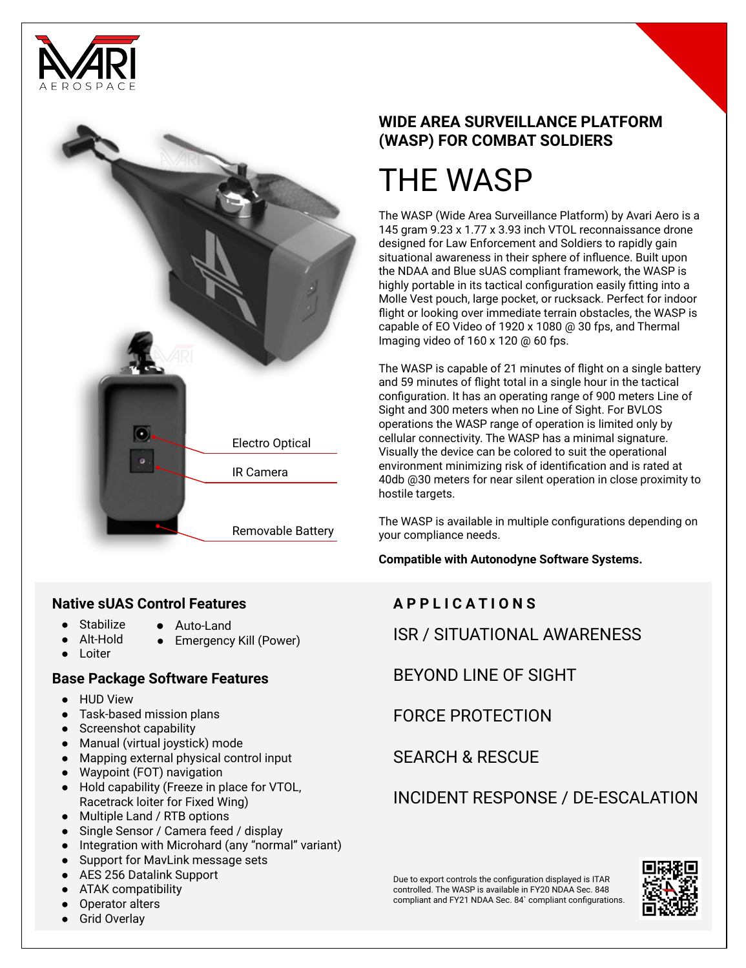



#### **Native sUAS Control Features**

- Stabilize Auto-Land
	- Alt-Hold ● Emergency Kill (Power)
- Loiter

### **Base Package Software Features**

- HUD View
- Task-based mission plans
- Screenshot capability
- Manual (virtual joystick) mode
- Mapping external physical control input
- Waypoint (FOT) navigation
- Hold capability (Freeze in place for VTOL, Racetrack loiter for Fixed Wing)
- Multiple Land / RTB options
- Single Sensor / Camera feed / display
- Integration with Microhard (any "normal" variant)
- Support for MavLink message sets
- AES 256 Datalink Support
- ATAK compatibility
- Operator alters
- **Grid Overlay**

# **WIDE AREA SURVEILLANCE PLATFORM (WASP) FOR COMBAT SOLDIERS**

# THE WASP

The WASP (Wide Area Surveillance Platform) by Avari Aero is a 145 gram 9.23 x 1.77 x 3.93 inch VTOL reconnaissance drone designed for Law Enforcement and Soldiers to rapidly gain situational awareness in their sphere of influence. Built upon the NDAA and Blue sUAS compliant framework, the WASP is highly portable in its tactical configuration easily fitting into a Molle Vest pouch, large pocket, or rucksack. Perfect for indoor flight or looking over immediate terrain obstacles, the WASP is capable of EO Video of 1920 x 1080 @ 30 fps, and Thermal Imaging video of 160 x 120 @ 60 fps.

The WASP is capable of 21 minutes of flight on a single battery and 59 minutes of flight total in a single hour in the tactical configuration. It has an operating range of 900 meters Line of Sight and 300 meters when no Line of Sight. For BVLOS operations the WASP range of operation is limited only by cellular connectivity. The WASP has a minimal signature. Visually the device can be colored to suit the operational environment minimizing risk of identification and is rated at 40db @30 meters for near silent operation in close proximity to hostile targets.

The WASP is available in multiple configurations depending on your compliance needs.

**Compatible with Autonodyne Software Systems.**

# **A P P L I C A T I O N S**

ISR / SITUATIONAL AWARENESS

BEYOND LINE OF SIGHT

FORCE PROTECTION

SEARCH & RESCUE

INCIDENT RESPONSE / DE-ESCALATION

Due to export controls the configuration displayed is ITAR controlled. The WASP is available in FY20 NDAA Sec. 848 compliant and FY21 NDAA Sec. 84` compliant configurations.